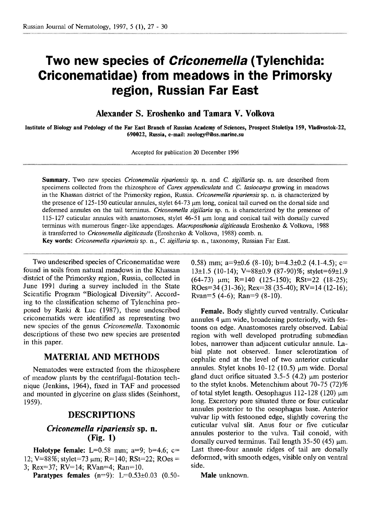# **Two new species of Criconemella (Tylenchida: Criconematidae) from meadows in the Primorsky region, Russian Far East**

**Alexander S. Eroshenko and Tamara V. Volkova** 

**Institute of Biology and Pedology of the Far East Branch of Russian Academy of Sciences, Prospect Stoletiya 159, Vladivostok-22, 690022, Russia, e-mail: zoology@ibss.marine.su** 

Accepted for publication 20 December 1996

**Summary.** Two new species *Criconemella ripariensis* sp. *n.* and *C. sigillaria* sp. n. are described from specimens collected from the rhizosphere of *Carex appendiculata* and *C. Imiocatpa* growing in meadows in the Khassan district of the Primorsky region, Russia. *Criconemella ripariensis* sp. n. *is* characterized by the presence of 125-150 cuticular annules, stylet 64-73  $\mu$ m long, conical tail curved on the dorsal side and deformed annules on the tail terminus. *Criconemella sigillaria* sp. n. is characterized by the presence of 115- 127 cuticular annules with anastomoses, stylet 46-51 pm long and conical tail with dorsally curved terminus with numerous finger-like appendages. *Macroposthonia digificauda* Eroshenko & Volkova, 1988 is transferred to *Criconemella digiticauda* (Eroshenko & Volkova, 1988) comb. n. *Key words: Criconemella ripariensis* sp. n., *C. sigillaria* sp. n., taxonomy, Russian Far East.

Two undescribed species of Criconernatidae were found in soils from natural meadows in the Khassan district of the Primorsky region, Russia, collected in June 1991 during a survey included in the State Scientific Program "Biological Diversity". According to the classification scheme of Tylenchina proposed by Raski & Luc (1987), these undescribed criconernatids were identified as representing two new species of the genus Criconemella. Taxonomic descriptions of these two new species are presented in this paper.

### **MATERIAL AND METHODS**

Nematodes were extracted from the rhizosphere of meadow plants by the centrifugal-flotation technique (Jenkins, 1964), fixed in TAF and processed and mounted in glycerine on glass slides (Seinhorst, 1959).

### **DESCRIPTIONS**

## *Criconemella ripariensis sp. n.* **(Fig. 1)**

**Holotype female:** L=0.58 mm;  $a=9$ ;  $b=4.6$ ;  $c=$ 12; V=88%; stylet=73  $\mu$ m; R=140; RSt=22; ROes = 3; Rex=37; RV=14; RVan=4; Ran=lO.

**Paratypes females** (n=9): L=0.53 $\pm$ 0.03 (0.50-

0.58) mm; a=9 $\pm$ 0.6 (8-10); b=4.3 $\pm$ 0.2 (4.1-4.5); c=  $13\pm1.5$  (10-14); V=88 $\pm$ 0.9 (87-90)%; stylet=69 $\pm$ 1.9  $(64-73)$  um; R=140 (125-150); RSt=22 (18-25); ROes=34 (31-36); Rex=38 (35-40); RV=14 (12-16); Rvan=5 (4-6); Ran=9 (8-10).

**Female.** Body slightly curved ventrally. Cuticular annules 4 um wide, broadening posteriorly, with festoons on edge. Anastomoses rarely observed. Labial region with well developed protruding submedian lobes, narrower than adjacent cuticular annule. Labial plate not observed. Inner sclerotization of cephalic end at the level of two anterior cuticular annules. Stylet knobs  $10-12$  (10.5)  $\mu$ m wide. Dorsal gland duct orifice situated  $3.5-5(4.2)$  um posterior to the stylet knobs. Metenchium about 70-75 (72)% of total stylet length. Oesophagus  $112-128$  (120)  $\mu$ m long. Excretory pore situated three or four cuticular annules posterior to the oesophagus base. Anterior vulvar lip with festooned edge, slightly covering the cuticular vulva1 slit. Anus four or five cuticular annules posterior to the vulva. Tail conoid, with dorsally curved terminus. Tail length  $35-50$  (45) um. Last three-four annule ridges of tail are dorsally deformed, with smooth edges, visible only on ventral side.

**Male** unknown.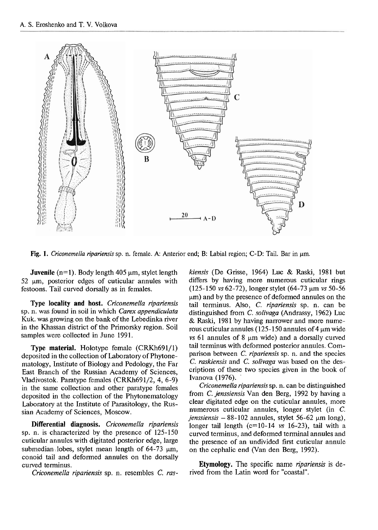

**Fig. 1.** Criconemella ripariensis sp. n. female. A: Anterior end; B: Labial region; C-D: Tail. Bar in  $\mu$ m.

**Juvenile**  $(n=1)$ . Body length 405  $\mu$ m, stylet length  $52 \mu m$ , posterior edges of cuticular annules with festoons. Tail curved dorsally as in females.

**Type locality and host.** *Criconemella ripariensis*  sp. n. was found in soil in which *Carex appendiculata*  Kuk. was growing on the bank of the Lebedinka river in the Khassan district of the Primorsky region. Soil samples were collected in June 1991.

**Type material.** Holotype female (CRKh691/1) deposited in the collection of Laboratory of Phytonematology, Lnstitute of Biology and Pedology, the Far East Branch of the Russian Academy of Sciences, Vladivostok. Paratype females (CRKh691/2, 4, 6-9) in the same collection and other paratype females deposited in the collection of the Phytonematology Laboratory at the Lnstitute of Parasitology, the Russian Academy of Sciences, Moscow.

**Differential diagnosis.** *Criconemella ripariensis*  sp. n. is characterized by the presence of 125-150 cuticular annules with digitated posterior edge, large submedian, lobes, stylet mean length of  $64-73 \mu m$ , conoid tail and defonned annules on the dorsally curved terminus.

*Criconemella ripariensis* sp. n. resembles C. *ras-*

*kiensis* (De Grisse, 1964) Luc & Raski, 1981 but differs by having more numerous cuticular rings (125-150 *vs* 62-72), longer stylet (64-73 pm *vs* 50-56 um) and by the presence of deformed annules on the tail terminus. Also, C. *ripariensis* sp. n. can be distinguished from *C. solivaga* (Andrassy, 1962) Luc & Raski, 1981 by having narrower and more numerous cuticular annules  $(125-150$  annules of 4  $\mu$ m wide *vs* 61 annules of 8 um wide) and a dorsally curved tail terminus with deformed posterior annules. Comparison between *C. ripariensis* sp. *n.* and the species *C. raskiensis* and *C. solivaga* was based on the descriptions of these two species given in the book of Ivanova (1976).

*Criconemella ripariensis* sp. n. can be distinguished from *C. jenssiensis* Van den Berg, 1992 by having a clear digitated edge on the cuticular annules, more numerous cuticular annules, longer stylet (in *C. jenssiensis*  $- 88 - 102$  annules, stylet 56-62  $\mu$ m long), longer tail length (c=10-14 *vs* 16-23), tail with a curved terminus, and deformed terminal annules and the presence of an undivided first cuticular annule on the cephalic end (Van den Berg, 1992).

**Etymology.** The specific name *npariensis* is derived from the Latin word for "coastal".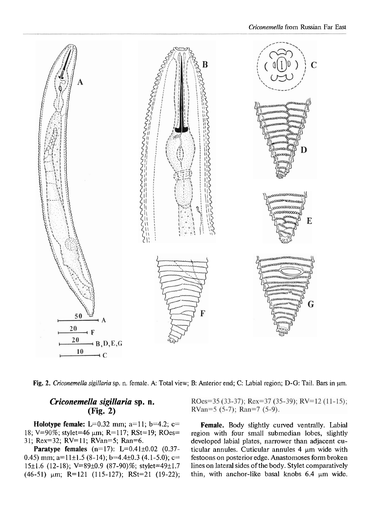

**Fig.** 2. **Criconemella sigillaria** sp. n. female. **A:** Total view; B: Anterior end; C: Labial region; D-G: Tail. Bars in **pm.** 

## *Criconernella sigillaria* **sp.** *n.*  **(Fig. 2)**

**Holotype female:** L=0.32 mm; a=11; b=4.2; c= 18; V=90%; stylet=46  $\mu$ m; R=117; RSt=19; ROes= 31; Rex=32; RV=11; RVan=5; Ran=6.

**Paratype females**  $(n=17)$ : L=0.41 $\pm$ 0.02  $(0.37 -$ 0.45) mm; a=11 $\pm$ 1.5 (8-14); b=4.4 $\pm$ 0.3 (4.1-5.0); c= 15±1.6 (12-18); V=89±0.9 (87-90)%; stylet=49±1.7  $(46-51)$  µm; R=121 (115-127); RSt=21 (19-22);

ROes=35 (33-37); Rex=37 (35-39); RV=12 (11-15); RVan=5  $(5-7)$ ; Ran=7  $(5-9)$ .

**Female.** Body slightly curved ventrally. Labial region with four small submedian lobes, slightly developed labial plates, narrower than adjacent cuticular annules. Cuticular annules  $4 \mu m$  wide with festoons on posterior edge. Anastomoses fonn broken lines on lateral sides of the body. Stylet comparatively thin, with anchor-like basal knobs  $6.4 \mu m$  wide.